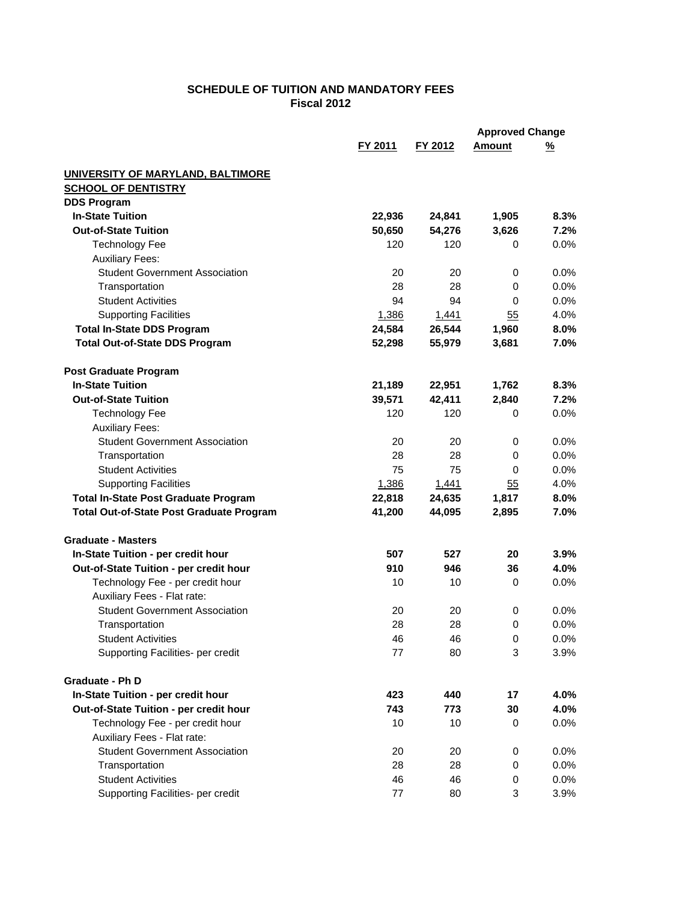## **SCHEDULE OF TUITION AND MANDATORY FEES Fiscal 2012**

|                                                 |         |         | <b>Approved Change</b> |          |
|-------------------------------------------------|---------|---------|------------------------|----------|
|                                                 | FY 2011 | FY 2012 | <b>Amount</b>          | <u>%</u> |
| UNIVERSITY OF MARYLAND, BALTIMORE               |         |         |                        |          |
| <b>SCHOOL OF DENTISTRY</b>                      |         |         |                        |          |
| <b>DDS Program</b>                              |         |         |                        |          |
| <b>In-State Tuition</b>                         | 22,936  | 24,841  | 1,905                  | 8.3%     |
| <b>Out-of-State Tuition</b>                     | 50,650  | 54,276  | 3,626                  | 7.2%     |
| <b>Technology Fee</b>                           | 120     | 120     | 0                      | $0.0\%$  |
| <b>Auxiliary Fees:</b>                          |         |         |                        |          |
| <b>Student Government Association</b>           | 20      | 20      | 0                      | 0.0%     |
| Transportation                                  | 28      | 28      | 0                      | 0.0%     |
| <b>Student Activities</b>                       | 94      | 94      | 0                      | 0.0%     |
| <b>Supporting Facilities</b>                    | 1,386   | 1,441   | 55                     | 4.0%     |
| <b>Total In-State DDS Program</b>               | 24,584  | 26,544  | 1,960                  | 8.0%     |
| <b>Total Out-of-State DDS Program</b>           | 52,298  | 55,979  | 3,681                  | 7.0%     |
| <b>Post Graduate Program</b>                    |         |         |                        |          |
| <b>In-State Tuition</b>                         | 21,189  | 22,951  | 1,762                  | 8.3%     |
| <b>Out-of-State Tuition</b>                     | 39,571  | 42,411  | 2,840                  | 7.2%     |
| <b>Technology Fee</b>                           | 120     | 120     | 0                      | 0.0%     |
| <b>Auxiliary Fees:</b>                          |         |         |                        |          |
| <b>Student Government Association</b>           | 20      | 20      | 0                      | 0.0%     |
| Transportation                                  | 28      | 28      | 0                      | 0.0%     |
| <b>Student Activities</b>                       | 75      | 75      | 0                      | 0.0%     |
| <b>Supporting Facilities</b>                    | 1,386   | 1,441   | 55                     | 4.0%     |
| <b>Total In-State Post Graduate Program</b>     | 22,818  | 24,635  | 1,817                  | 8.0%     |
| <b>Total Out-of-State Post Graduate Program</b> | 41,200  | 44,095  | 2,895                  | 7.0%     |
| <b>Graduate - Masters</b>                       |         |         |                        |          |
| In-State Tuition - per credit hour              | 507     | 527     | 20                     | 3.9%     |
| Out-of-State Tuition - per credit hour          | 910     | 946     | 36                     | 4.0%     |
| Technology Fee - per credit hour                | 10      | 10      | 0                      | 0.0%     |
| Auxiliary Fees - Flat rate:                     |         |         |                        |          |
| <b>Student Government Association</b>           | 20      | 20      | 0                      | 0.0%     |
| Transportation                                  | 28      | 28      | $\mathbf 0$            | 0.0%     |
| <b>Student Activities</b>                       | 46      | 46      | 0                      | 0.0%     |
| Supporting Facilities- per credit               | 77      | 80      | 3                      | 3.9%     |
| <b>Graduate - Ph D</b>                          |         |         |                        |          |
| In-State Tuition - per credit hour              | 423     | 440     | 17                     | 4.0%     |
| Out-of-State Tuition - per credit hour          | 743     | 773     | 30                     | 4.0%     |
| Technology Fee - per credit hour                | 10      | 10      | 0                      | 0.0%     |
| Auxiliary Fees - Flat rate:                     |         |         |                        |          |
| <b>Student Government Association</b>           | 20      | 20      | 0                      | 0.0%     |
| Transportation                                  | 28      | 28      | 0                      | 0.0%     |
| <b>Student Activities</b>                       | 46      | 46      | 0                      | 0.0%     |
| Supporting Facilities- per credit               | 77      | 80      | 3                      | 3.9%     |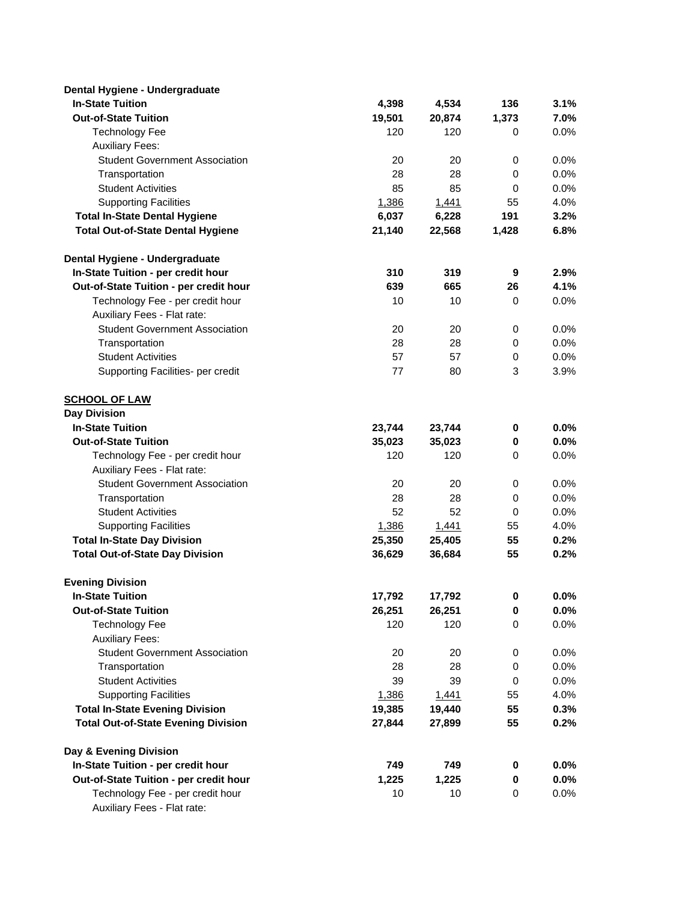| Dental Hygiene - Undergraduate                                  |        |        |                  |         |
|-----------------------------------------------------------------|--------|--------|------------------|---------|
| <b>In-State Tuition</b>                                         | 4,398  | 4,534  | 136              | 3.1%    |
| <b>Out-of-State Tuition</b>                                     | 19,501 | 20,874 | 1,373            | 7.0%    |
| <b>Technology Fee</b>                                           | 120    | 120    | 0                | 0.0%    |
| <b>Auxiliary Fees:</b>                                          |        |        |                  |         |
| <b>Student Government Association</b>                           | 20     | 20     | 0                | 0.0%    |
| Transportation                                                  | 28     | 28     | 0                | 0.0%    |
| <b>Student Activities</b>                                       | 85     | 85     | 0                | 0.0%    |
| <b>Supporting Facilities</b>                                    | 1,386  | 1,441  | 55               | 4.0%    |
| <b>Total In-State Dental Hygiene</b>                            | 6,037  | 6,228  | 191              | 3.2%    |
| <b>Total Out-of-State Dental Hygiene</b>                        | 21,140 | 22,568 | 1,428            | 6.8%    |
| Dental Hygiene - Undergraduate                                  |        |        |                  |         |
| In-State Tuition - per credit hour                              | 310    | 319    | $\boldsymbol{9}$ | 2.9%    |
| Out-of-State Tuition - per credit hour                          | 639    | 665    | 26               | 4.1%    |
| Technology Fee - per credit hour                                | 10     | 10     | 0                | 0.0%    |
| Auxiliary Fees - Flat rate:                                     |        |        |                  |         |
| <b>Student Government Association</b>                           | 20     | 20     | $\mathbf 0$      | 0.0%    |
| Transportation                                                  | 28     | 28     | 0                | 0.0%    |
| <b>Student Activities</b>                                       | 57     | 57     | 0                | 0.0%    |
| Supporting Facilities- per credit                               | 77     | 80     | 3                | 3.9%    |
| <b>SCHOOL OF LAW</b>                                            |        |        |                  |         |
| <b>Day Division</b>                                             |        |        |                  |         |
| <b>In-State Tuition</b>                                         | 23,744 | 23,744 | $\mathbf 0$      | 0.0%    |
| <b>Out-of-State Tuition</b>                                     | 35,023 | 35,023 | 0                | 0.0%    |
| Technology Fee - per credit hour                                | 120    | 120    | 0                | 0.0%    |
| Auxiliary Fees - Flat rate:                                     |        |        |                  |         |
| <b>Student Government Association</b>                           | 20     | 20     | 0                | 0.0%    |
| Transportation                                                  | 28     | 28     | $\mathbf 0$      | 0.0%    |
| <b>Student Activities</b>                                       | 52     | 52     | 0                | 0.0%    |
| <b>Supporting Facilities</b>                                    | 1,386  | 1,441  | 55               | 4.0%    |
| <b>Total In-State Day Division</b>                              | 25,350 | 25,405 | 55               | 0.2%    |
| <b>Total Out-of-State Day Division</b>                          | 36,629 | 36,684 | 55               | 0.2%    |
| <b>Evening Division</b>                                         |        |        |                  |         |
| <b>In-State Tuition</b>                                         | 17,792 | 17,792 | U                | $0.0\%$ |
| <b>Out-of-State Tuition</b>                                     | 26,251 | 26,251 | 0                | $0.0\%$ |
| <b>Technology Fee</b>                                           | 120    | 120    | 0                | 0.0%    |
| <b>Auxiliary Fees:</b>                                          |        |        |                  |         |
| <b>Student Government Association</b>                           | 20     | 20     | 0                | 0.0%    |
| Transportation                                                  | 28     | 28     | 0                | 0.0%    |
| <b>Student Activities</b>                                       | 39     | 39     | 0                | 0.0%    |
| <b>Supporting Facilities</b>                                    | 1,386  | 1,441  | 55               | 4.0%    |
| <b>Total In-State Evening Division</b>                          | 19,385 | 19,440 | 55               | 0.3%    |
| <b>Total Out-of-State Evening Division</b>                      | 27,844 | 27,899 | 55               | 0.2%    |
| Day & Evening Division                                          |        |        |                  |         |
| In-State Tuition - per credit hour                              | 749    | 749    | $\mathbf 0$      | 0.0%    |
| Out-of-State Tuition - per credit hour                          | 1,225  | 1,225  | 0                | $0.0\%$ |
| Technology Fee - per credit hour<br>Auxiliary Fees - Flat rate: | 10     | 10     | $\mathbf 0$      | 0.0%    |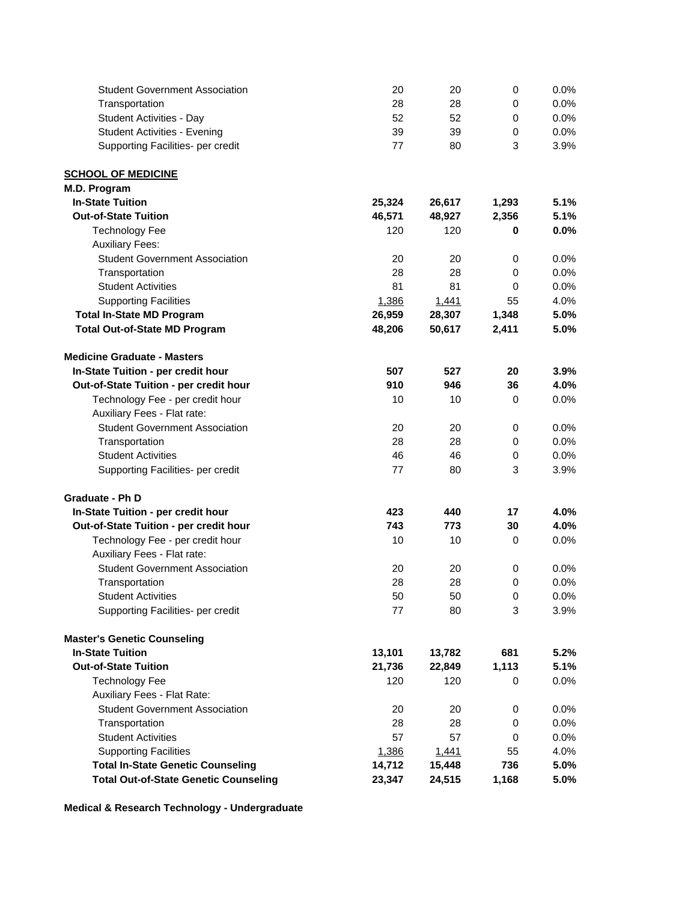| <b>Student Government Association</b>        | 20     | 20     | 0           | 0.0% |
|----------------------------------------------|--------|--------|-------------|------|
| Transportation                               | 28     | 28     | 0           | 0.0% |
| <b>Student Activities - Day</b>              | 52     | 52     | 0           | 0.0% |
| <b>Student Activities - Evening</b>          | 39     | 39     | 0           | 0.0% |
| Supporting Facilities- per credit            | 77     | 80     | 3           | 3.9% |
| <b>SCHOOL OF MEDICINE</b>                    |        |        |             |      |
| M.D. Program                                 |        |        |             |      |
| <b>In-State Tuition</b>                      | 25,324 | 26,617 | 1,293       | 5.1% |
| <b>Out-of-State Tuition</b>                  | 46,571 | 48,927 | 2,356       | 5.1% |
| <b>Technology Fee</b>                        | 120    | 120    | 0           | 0.0% |
| <b>Auxiliary Fees:</b>                       |        |        |             |      |
| <b>Student Government Association</b>        | 20     | 20     | 0           | 0.0% |
| Transportation                               | 28     | 28     | 0           | 0.0% |
| <b>Student Activities</b>                    | 81     | 81     | 0           | 0.0% |
| <b>Supporting Facilities</b>                 | 1,386  | 1,441  | 55          | 4.0% |
| <b>Total In-State MD Program</b>             | 26,959 | 28,307 | 1,348       | 5.0% |
| <b>Total Out-of-State MD Program</b>         | 48,206 | 50,617 | 2,411       | 5.0% |
| <b>Medicine Graduate - Masters</b>           |        |        |             |      |
| In-State Tuition - per credit hour           | 507    | 527    | 20          | 3.9% |
| Out-of-State Tuition - per credit hour       | 910    | 946    | 36          | 4.0% |
| Technology Fee - per credit hour             | 10     | 10     | 0           | 0.0% |
| Auxiliary Fees - Flat rate:                  |        |        |             |      |
| <b>Student Government Association</b>        | 20     | 20     | 0           | 0.0% |
| Transportation                               | 28     | 28     | 0           | 0.0% |
| <b>Student Activities</b>                    | 46     | 46     | 0           | 0.0% |
| Supporting Facilities- per credit            | 77     | 80     | 3           | 3.9% |
|                                              |        |        |             |      |
| <b>Graduate - Ph D</b>                       |        |        |             |      |
| In-State Tuition - per credit hour           | 423    | 440    | 17          | 4.0% |
| Out-of-State Tuition - per credit hour       | 743    | 773    | 30          | 4.0% |
| Technology Fee - per credit hour             | 10     | 10     | 0           | 0.0% |
| Auxiliary Fees - Flat rate:                  |        |        |             |      |
| <b>Student Government Association</b>        | 20     | 20     | 0           | 0.0% |
| Transportation                               | 28     | 28     | $\mathbf 0$ | 0.0% |
| <b>Student Activities</b>                    | 50     | 50     | 0           | 0.0% |
| Supporting Facilities- per credit            | 77     | 80     | 3           | 3.9% |
| <b>Master's Genetic Counseling</b>           |        |        |             |      |
| <b>In-State Tuition</b>                      | 13,101 | 13,782 | 681         | 5.2% |
| <b>Out-of-State Tuition</b>                  | 21,736 | 22,849 | 1,113       | 5.1% |
| <b>Technology Fee</b>                        | 120    | 120    | 0           | 0.0% |
| Auxiliary Fees - Flat Rate:                  |        |        |             |      |
| <b>Student Government Association</b>        | 20     | 20     | 0           | 0.0% |
| Transportation                               | 28     | 28     | 0           | 0.0% |
| <b>Student Activities</b>                    | 57     | 57     | 0           | 0.0% |
| <b>Supporting Facilities</b>                 | 1,386  | 1,441  | 55          | 4.0% |
| <b>Total In-State Genetic Counseling</b>     | 14,712 | 15,448 | 736         | 5.0% |
| <b>Total Out-of-State Genetic Counseling</b> | 23,347 | 24,515 | 1,168       | 5.0% |

**Medical & Research Technology - Undergraduate**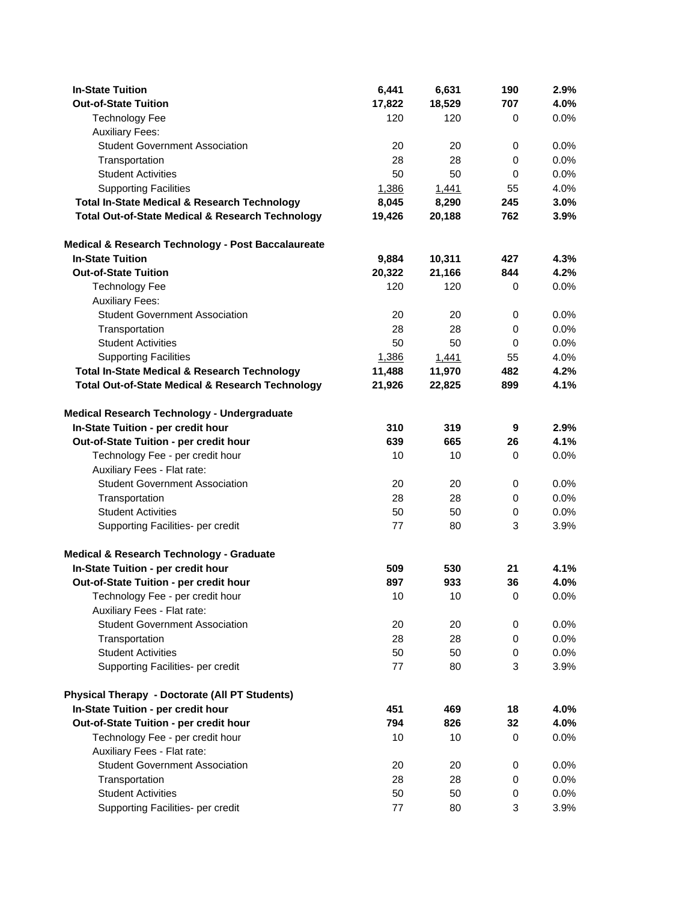| <b>In-State Tuition</b>                                     | 6,441  | 6,631  | 190         | 2.9%    |
|-------------------------------------------------------------|--------|--------|-------------|---------|
| <b>Out-of-State Tuition</b>                                 | 17,822 | 18,529 | 707         | 4.0%    |
| <b>Technology Fee</b>                                       | 120    | 120    | 0           | 0.0%    |
| <b>Auxiliary Fees:</b>                                      |        |        |             |         |
| <b>Student Government Association</b>                       | 20     | 20     | 0           | 0.0%    |
| Transportation                                              | 28     | 28     | 0           | 0.0%    |
| <b>Student Activities</b>                                   | 50     | 50     | 0           | 0.0%    |
| <b>Supporting Facilities</b>                                | 1,386  | 1,441  | 55          | 4.0%    |
| <b>Total In-State Medical &amp; Research Technology</b>     | 8,045  | 8,290  | 245         | 3.0%    |
| <b>Total Out-of-State Medical &amp; Research Technology</b> | 19,426 | 20,188 | 762         | 3.9%    |
| Medical & Research Technology - Post Baccalaureate          |        |        |             |         |
| <b>In-State Tuition</b>                                     | 9,884  | 10,311 | 427         | 4.3%    |
| <b>Out-of-State Tuition</b>                                 | 20,322 | 21,166 | 844         | 4.2%    |
| <b>Technology Fee</b>                                       | 120    | 120    | 0           | 0.0%    |
| <b>Auxiliary Fees:</b>                                      |        |        |             |         |
| <b>Student Government Association</b>                       | 20     | 20     | $\mathbf 0$ | 0.0%    |
| Transportation                                              | 28     | 28     | 0           | 0.0%    |
| <b>Student Activities</b>                                   | 50     | 50     | 0           | 0.0%    |
| <b>Supporting Facilities</b>                                | 1,386  | 1,441  | 55          | 4.0%    |
| <b>Total In-State Medical &amp; Research Technology</b>     | 11,488 | 11,970 | 482         | 4.2%    |
| <b>Total Out-of-State Medical &amp; Research Technology</b> | 21,926 | 22,825 | 899         | 4.1%    |
| Medical Research Technology - Undergraduate                 |        |        |             |         |
| In-State Tuition - per credit hour                          | 310    | 319    | 9           | 2.9%    |
| Out-of-State Tuition - per credit hour                      | 639    | 665    | 26          | 4.1%    |
| Technology Fee - per credit hour                            | 10     | 10     | 0           | 0.0%    |
| Auxiliary Fees - Flat rate:                                 |        |        |             |         |
| <b>Student Government Association</b>                       | 20     | 20     | 0           | 0.0%    |
| Transportation                                              | 28     | 28     | $\mathbf 0$ | 0.0%    |
| <b>Student Activities</b>                                   | 50     | 50     | $\mathbf 0$ | 0.0%    |
| Supporting Facilities- per credit                           | 77     | 80     | 3           | 3.9%    |
| Medical & Research Technology - Graduate                    |        |        |             |         |
| In-State Tuition - per credit hour                          | 509    | 530    | 21          | 4.1%    |
| Out-of-State Tuition - per credit hour                      | 897    | 933    | 36          | 4.0%    |
| Technology Fee - per credit hour                            | 10     | 10     | 0           | $0.0\%$ |
| Auxiliary Fees - Flat rate:                                 |        |        |             |         |
| <b>Student Government Association</b>                       | 20     | 20     | 0           | 0.0%    |
| Transportation                                              | 28     | 28     | 0           | 0.0%    |
| <b>Student Activities</b>                                   | 50     | 50     | 0           | 0.0%    |
| Supporting Facilities- per credit                           | $77$   | 80     | 3           | 3.9%    |
| <b>Physical Therapy - Doctorate (All PT Students)</b>       |        |        |             |         |
| In-State Tuition - per credit hour                          | 451    | 469    | 18          | 4.0%    |
| Out-of-State Tuition - per credit hour                      | 794    | 826    | 32          | 4.0%    |
| Technology Fee - per credit hour                            | 10     | 10     | 0           | 0.0%    |
| Auxiliary Fees - Flat rate:                                 |        |        |             |         |
| <b>Student Government Association</b>                       | 20     | 20     | 0           | 0.0%    |
| Transportation                                              | 28     | 28     | 0           | 0.0%    |
| <b>Student Activities</b>                                   | 50     | 50     | 0           | 0.0%    |
| Supporting Facilities- per credit                           | 77     | 80     | 3           | 3.9%    |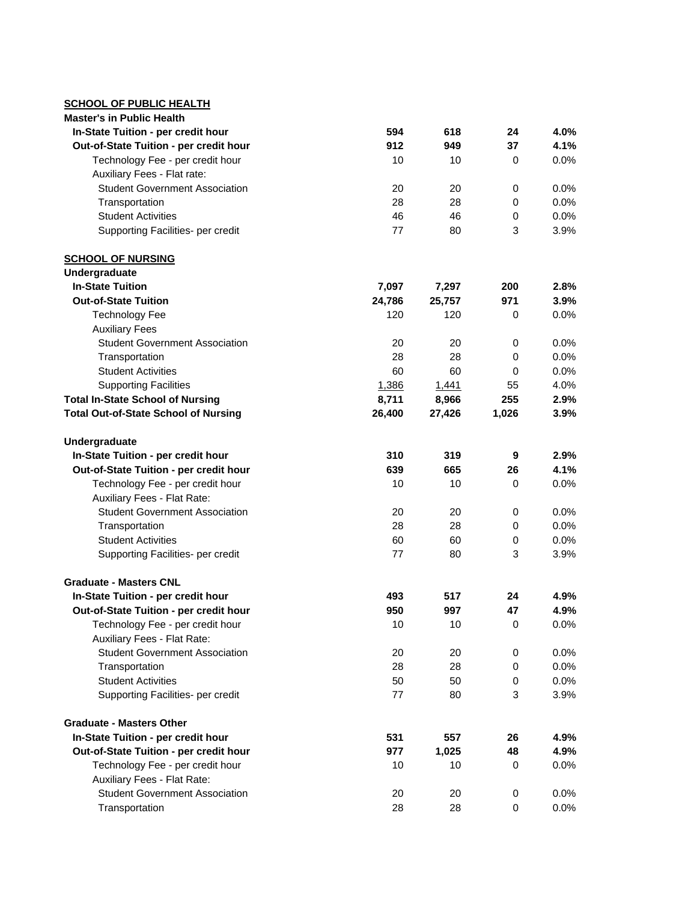## **SCHOOL OF PUBLIC HEALTH**

| <b>Master's in Public Health</b>                                |        |        |       |      |
|-----------------------------------------------------------------|--------|--------|-------|------|
| In-State Tuition - per credit hour                              | 594    | 618    | 24    | 4.0% |
| Out-of-State Tuition - per credit hour                          | 912    | 949    | 37    | 4.1% |
| Technology Fee - per credit hour                                | 10     | 10     | 0     | 0.0% |
| Auxiliary Fees - Flat rate:                                     |        |        |       |      |
| <b>Student Government Association</b>                           | 20     | 20     | 0     | 0.0% |
| Transportation                                                  | 28     | 28     | 0     | 0.0% |
| <b>Student Activities</b>                                       | 46     | 46     | 0     | 0.0% |
| Supporting Facilities- per credit                               | 77     | 80     | 3     | 3.9% |
| <b>SCHOOL OF NURSING</b>                                        |        |        |       |      |
| Undergraduate                                                   |        |        |       |      |
| <b>In-State Tuition</b>                                         | 7,097  | 7,297  | 200   | 2.8% |
| <b>Out-of-State Tuition</b>                                     | 24,786 | 25,757 | 971   | 3.9% |
| <b>Technology Fee</b>                                           | 120    | 120    | 0     | 0.0% |
| <b>Auxiliary Fees</b>                                           |        |        |       |      |
| <b>Student Government Association</b>                           | 20     | 20     | 0     | 0.0% |
| Transportation                                                  | 28     | 28     | 0     | 0.0% |
| <b>Student Activities</b>                                       | 60     | 60     | 0     | 0.0% |
| <b>Supporting Facilities</b>                                    | 1,386  | 1,441  | 55    | 4.0% |
| <b>Total In-State School of Nursing</b>                         | 8,711  | 8,966  | 255   | 2.9% |
| <b>Total Out-of-State School of Nursing</b>                     | 26,400 | 27,426 | 1,026 | 3.9% |
| Undergraduate                                                   |        |        |       |      |
| In-State Tuition - per credit hour                              | 310    | 319    | 9     | 2.9% |
| Out-of-State Tuition - per credit hour                          | 639    | 665    | 26    | 4.1% |
| Technology Fee - per credit hour                                | 10     | 10     | 0     | 0.0% |
| Auxiliary Fees - Flat Rate:                                     |        |        |       |      |
| <b>Student Government Association</b>                           | 20     | 20     | 0     | 0.0% |
| Transportation                                                  | 28     | 28     | 0     | 0.0% |
| <b>Student Activities</b>                                       | 60     | 60     | 0     | 0.0% |
| Supporting Facilities- per credit                               | 77     | 80     | 3     | 3.9% |
| <b>Graduate - Masters CNL</b>                                   |        |        |       |      |
| In-State Tuition - per credit hour                              | 493    | 517    | 24    | 4.9% |
| Out-of-State Tuition - per credit hour                          | 950    | 997    | 47    | 4.9% |
| Technology Fee - per credit hour                                | 10     | 10     | 0     | 0.0% |
| Auxiliary Fees - Flat Rate:                                     |        |        |       |      |
| <b>Student Government Association</b>                           | 20     | 20     | 0     | 0.0% |
| Transportation                                                  | 28     | 28     | 0     | 0.0% |
| <b>Student Activities</b>                                       | 50     | 50     | 0     | 0.0% |
| Supporting Facilities- per credit                               | 77     | 80     | 3     | 3.9% |
| <b>Graduate - Masters Other</b>                                 |        |        |       |      |
| In-State Tuition - per credit hour                              | 531    | 557    | 26    | 4.9% |
| Out-of-State Tuition - per credit hour                          | 977    | 1,025  | 48    | 4.9% |
| Technology Fee - per credit hour<br>Auxiliary Fees - Flat Rate: | 10     | 10     | 0     | 0.0% |
| <b>Student Government Association</b>                           | 20     | 20     | 0     | 0.0% |
| Transportation                                                  | 28     | 28     | 0     | 0.0% |
|                                                                 |        |        |       |      |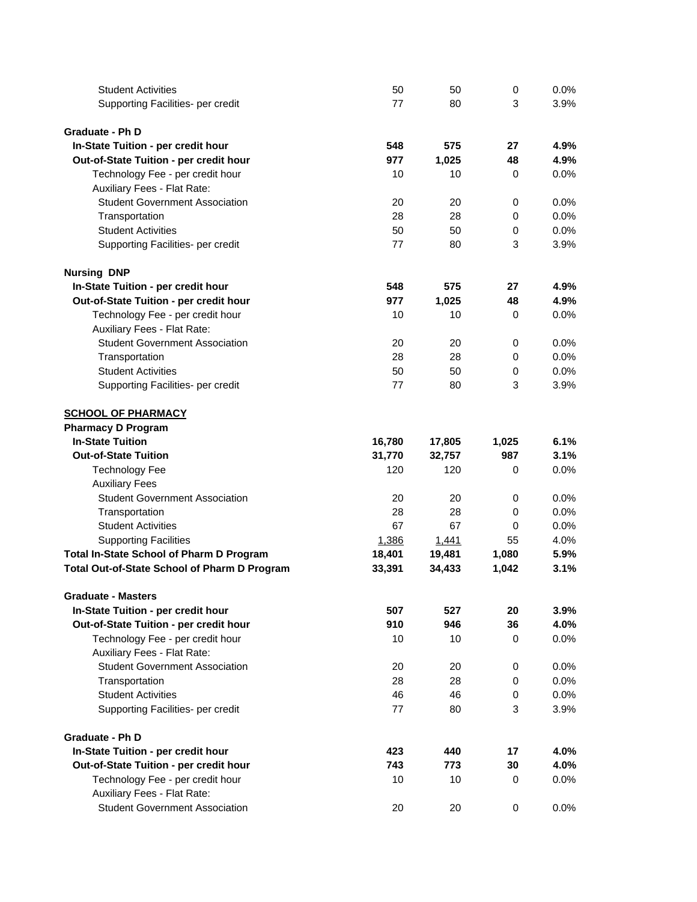| <b>Student Activities</b>                    | 50     | 50           | 0           | 0.0% |
|----------------------------------------------|--------|--------------|-------------|------|
| Supporting Facilities- per credit            | 77     | 80           | 3           | 3.9% |
|                                              |        |              |             |      |
| <b>Graduate - Ph D</b>                       |        |              |             |      |
| In-State Tuition - per credit hour           | 548    | 575          | 27          | 4.9% |
| Out-of-State Tuition - per credit hour       | 977    | 1,025        | 48          | 4.9% |
| Technology Fee - per credit hour             | 10     | 10           | 0           | 0.0% |
| Auxiliary Fees - Flat Rate:                  |        |              |             |      |
| <b>Student Government Association</b>        | 20     | 20           | 0           | 0.0% |
| Transportation                               | 28     | 28           | $\mathbf 0$ | 0.0% |
| <b>Student Activities</b>                    | 50     | 50           | $\mathbf 0$ | 0.0% |
| Supporting Facilities- per credit            | 77     | 80           | 3           | 3.9% |
| <b>Nursing DNP</b>                           |        |              |             |      |
| In-State Tuition - per credit hour           | 548    | 575          | 27          | 4.9% |
| Out-of-State Tuition - per credit hour       | 977    | 1,025        | 48          | 4.9% |
|                                              |        |              |             |      |
| Technology Fee - per credit hour             | 10     | 10           | 0           | 0.0% |
| Auxiliary Fees - Flat Rate:                  |        |              |             |      |
| <b>Student Government Association</b>        | 20     | 20           | 0           | 0.0% |
| Transportation                               | 28     | 28           | $\mathbf 0$ | 0.0% |
| <b>Student Activities</b>                    | 50     | 50           | $\mathbf 0$ | 0.0% |
| Supporting Facilities- per credit            | 77     | 80           | 3           | 3.9% |
| <b>SCHOOL OF PHARMACY</b>                    |        |              |             |      |
| <b>Pharmacy D Program</b>                    |        |              |             |      |
| <b>In-State Tuition</b>                      | 16,780 | 17,805       | 1,025       | 6.1% |
| <b>Out-of-State Tuition</b>                  | 31,770 | 32,757       | 987         | 3.1% |
| <b>Technology Fee</b>                        | 120    | 120          | 0           | 0.0% |
| <b>Auxiliary Fees</b>                        |        |              |             |      |
| <b>Student Government Association</b>        | 20     | 20           | 0           | 0.0% |
| Transportation                               | 28     | 28           | 0           | 0.0% |
| <b>Student Activities</b>                    | 67     | 67           | 0           | 0.0% |
| <b>Supporting Facilities</b>                 | 1,386  | <u>1,441</u> | 55          | 4.0% |
| Total In-State School of Pharm D Program     | 18,401 | 19,481       | 1,080       | 5.9% |
| Total Out-of-State School of Pharm D Program | 33,391 | 34,433       | 1,042       | 3.1% |
| <b>Graduate - Masters</b>                    |        |              |             |      |
| In-State Tuition - per credit hour           | 507    | 527          | 20          | 3.9% |
| Out-of-State Tuition - per credit hour       | 910    | 946          | 36          | 4.0% |
| Technology Fee - per credit hour             | 10     | 10           | 0           | 0.0% |
| Auxiliary Fees - Flat Rate:                  |        |              |             |      |
| <b>Student Government Association</b>        | 20     | 20           | 0           | 0.0% |
| Transportation                               | 28     | 28           | 0           | 0.0% |
| <b>Student Activities</b>                    | 46     | 46           | $\mathbf 0$ | 0.0% |
| Supporting Facilities- per credit            | 77     | 80           | 3           | 3.9% |
|                                              |        |              |             |      |
| <b>Graduate - Ph D</b>                       |        |              |             |      |
| In-State Tuition - per credit hour           | 423    | 440          | 17          | 4.0% |
| Out-of-State Tuition - per credit hour       | 743    | 773          | 30          | 4.0% |
| Technology Fee - per credit hour             | 10     | 10           | 0           | 0.0% |
| Auxiliary Fees - Flat Rate:                  |        |              |             |      |
| <b>Student Government Association</b>        | 20     | 20           | $\pmb{0}$   | 0.0% |